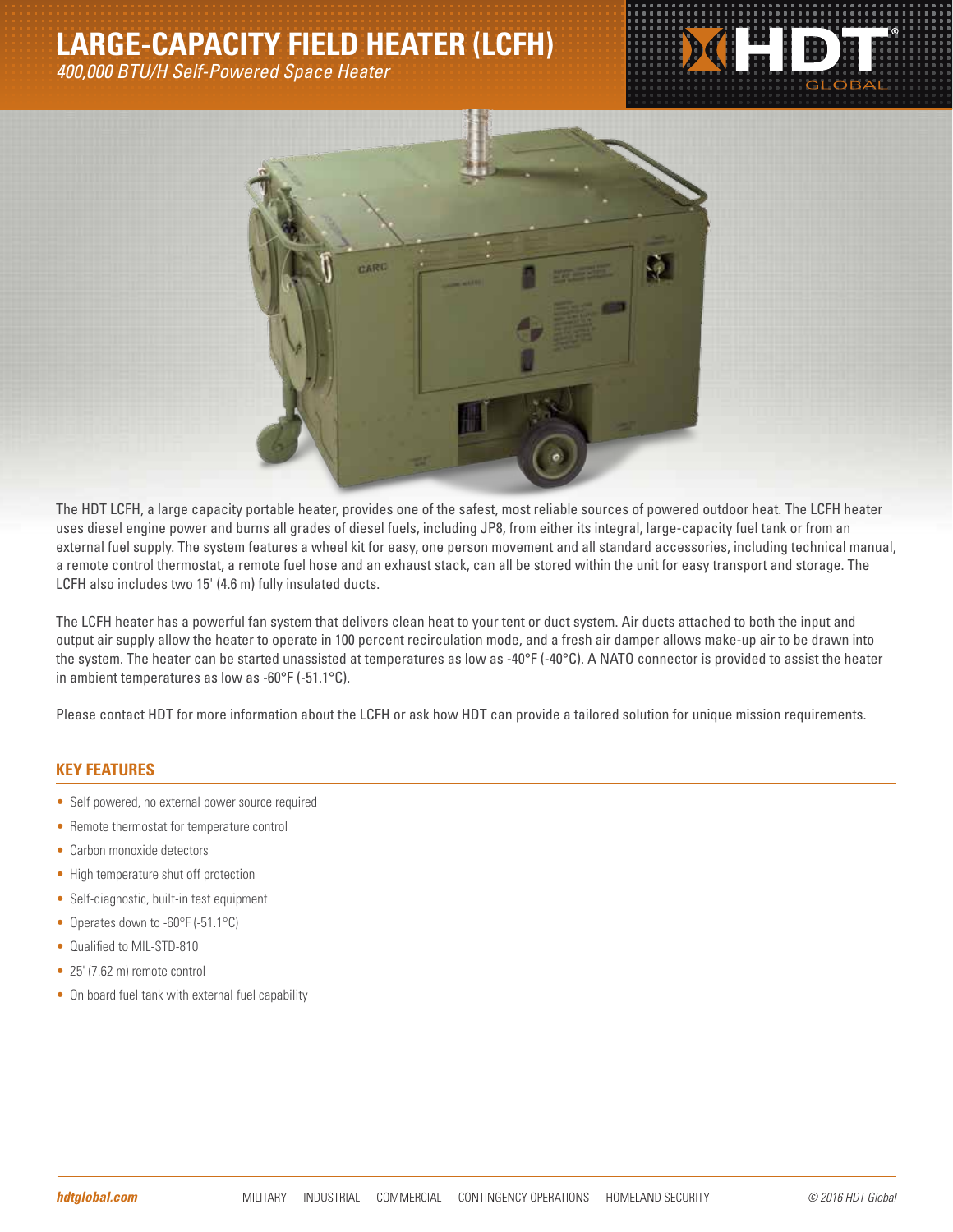## **LARGE-CAPACITY FIELD HEATER (LCFH)**

*400,000 BTU/H Self-Powered Space Heater*





The HDT LCFH, a large capacity portable heater, provides one of the safest, most reliable sources of powered outdoor heat. The LCFH heater uses diesel engine power and burns all grades of diesel fuels, including JP8, from either its integral, large-capacity fuel tank or from an external fuel supply. The system features a wheel kit for easy, one person movement and all standard accessories, including technical manual, a remote control thermostat, a remote fuel hose and an exhaust stack, can all be stored within the unit for easy transport and storage. The LCFH also includes two 15' (4.6 m) fully insulated ducts.

The LCFH heater has a powerful fan system that delivers clean heat to your tent or duct system. Air ducts attached to both the input and output air supply allow the heater to operate in 100 percent recirculation mode, and a fresh air damper allows make-up air to be drawn into the system. The heater can be started unassisted at temperatures as low as -40°F (-40°C). A NATO connector is provided to assist the heater in ambient temperatures as low as -60°F (-51.1°C).

Please contact HDT for more information about the LCFH or ask how HDT can provide a tailored solution for unique mission requirements.

## **KEY FEATURES**

- Self powered, no external power source required
- Remote thermostat for temperature control
- Carbon monoxide detectors
- High temperature shut off protection
- Self-diagnostic, built-in test equipment
- Operates down to -60°F (-51.1°C)
- Qualified to MIL-STD-810
- 25' (7.62 m) remote control
- On board fuel tank with external fuel capability